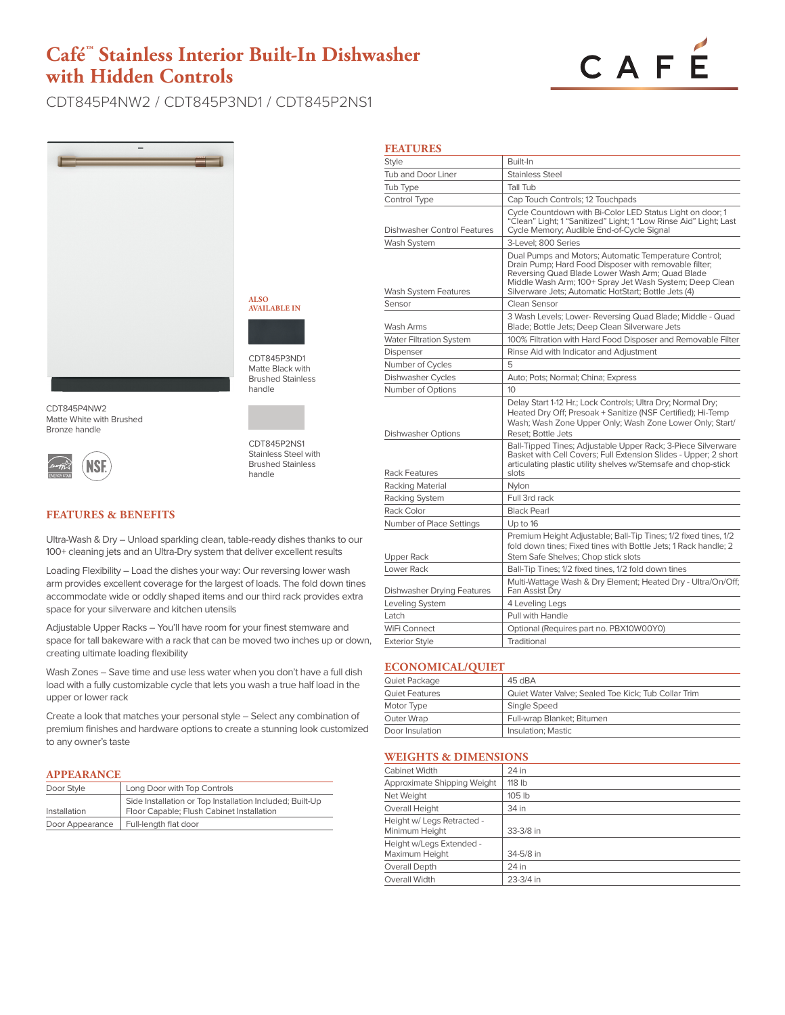# **Café™ Stainless Interior Built-In Dishwasher with Hidden Controls**



CDT845P4NW2 / CDT845P3ND1 / CDT845P2NS1



CDT845P4NW2 Matte White with Brushed Bronze handle



CDT845P2NS1 Stainless Steel with Brushed Stainless handle

CDT845P3ND1 Matte Black with Brushed Stainless handle

**ALSO AVAILABLE IN**

# **FEATURES & BENEFITS**

Ultra-Wash & Dry – Unload sparkling clean, table-ready dishes thanks to our 100+ cleaning jets and an Ultra-Dry system that deliver excellent results

Loading Flexibility – Load the dishes your way: Our reversing lower wash arm provides excellent coverage for the largest of loads. The fold down tines accommodate wide or oddly shaped items and our third rack provides extra space for your silverware and kitchen utensils

Adjustable Upper Racks – You'll have room for your finest stemware and space for tall bakeware with a rack that can be moved two inches up or down, creating ultimate loading flexibility

Wash Zones – Save time and use less water when you don't have a full dish load with a fully customizable cycle that lets you wash a true half load in the upper or lower rack

Create a look that matches your personal style – Select any combination of premium finishes and hardware options to create a stunning look customized to any owner's taste

#### **APPEARANCE**

| Door Style      | Long Door with Top Controls                                                                           |
|-----------------|-------------------------------------------------------------------------------------------------------|
| Installation    | Side Installation or Top Installation Included; Built-Up<br>Floor Capable; Flush Cabinet Installation |
| Door Appearance | Full-length flat door                                                                                 |

| <b>FEATURES</b>                    |                                                                                                                                                                                                                                                                                      |
|------------------------------------|--------------------------------------------------------------------------------------------------------------------------------------------------------------------------------------------------------------------------------------------------------------------------------------|
| <b>Style</b>                       | Built-In                                                                                                                                                                                                                                                                             |
| Tub and Door Liner                 | <b>Stainless Steel</b>                                                                                                                                                                                                                                                               |
| Tub Type                           | Tall Tub                                                                                                                                                                                                                                                                             |
| Control Type                       | Cap Touch Controls; 12 Touchpads                                                                                                                                                                                                                                                     |
| <b>Dishwasher Control Features</b> | Cycle Countdown with Bi-Color LED Status Light on door; 1<br>"Clean" Light; 1 "Sanitized" Light; 1 "Low Rinse Aid" Light; Last<br>Cycle Memory; Audible End-of-Cycle Signal                                                                                                          |
| Wash System                        | 3-Level; 800 Series                                                                                                                                                                                                                                                                  |
| Wash System Features               | Dual Pumps and Motors; Automatic Temperature Control;<br>Drain Pump; Hard Food Disposer with removable filter;<br>Reversing Quad Blade Lower Wash Arm; Quad Blade<br>Middle Wash Arm; 100+ Spray Jet Wash System; Deep Clean<br>Silverware Jets; Automatic HotStart; Bottle Jets (4) |
| Sensor                             | Clean Sensor                                                                                                                                                                                                                                                                         |
| Wash Arms                          | 3 Wash Levels; Lower- Reversing Quad Blade; Middle - Quad<br>Blade; Bottle Jets; Deep Clean Silverware Jets                                                                                                                                                                          |
| <b>Water Filtration System</b>     | 100% Filtration with Hard Food Disposer and Removable Filter                                                                                                                                                                                                                         |
| Dispenser                          | Rinse Aid with Indicator and Adjustment                                                                                                                                                                                                                                              |
| Number of Cycles                   | 5                                                                                                                                                                                                                                                                                    |
| Dishwasher Cycles                  | Auto; Pots; Normal; China; Express                                                                                                                                                                                                                                                   |
| Number of Options                  | 10                                                                                                                                                                                                                                                                                   |
| <b>Dishwasher Options</b>          | Delay Start 1-12 Hr.; Lock Controls; Ultra Dry; Normal Dry;<br>Heated Dry Off; Presoak + Sanitize (NSF Certified); Hi-Temp<br>Wash; Wash Zone Upper Only; Wash Zone Lower Only; Start/<br>Reset: Bottle Jets                                                                         |
| <b>Rack Features</b>               | Ball-Tipped Tines; Adjustable Upper Rack; 3-Piece Silverware<br>Basket with Cell Covers; Full Extension Slides - Upper; 2 short<br>articulating plastic utility shelves w/Stemsafe and chop-stick<br>slots                                                                           |
| Racking Material                   | Nylon                                                                                                                                                                                                                                                                                |
| Racking System                     | Full 3rd rack                                                                                                                                                                                                                                                                        |
| Rack Color                         | <b>Black Pearl</b>                                                                                                                                                                                                                                                                   |
| Number of Place Settings           | Up to 16                                                                                                                                                                                                                                                                             |
| <b>Upper Rack</b>                  | Premium Height Adjustable; Ball-Tip Tines; 1/2 fixed tines, 1/2<br>fold down tines: Fixed tines with Bottle Jets: 1 Rack handle: 2<br>Stem Safe Shelves; Chop stick slots                                                                                                            |
| Lower Rack                         | Ball-Tip Tines; 1/2 fixed tines, 1/2 fold down tines                                                                                                                                                                                                                                 |
| <b>Dishwasher Drying Features</b>  | Multi-Wattage Wash & Dry Element; Heated Dry - Ultra/On/Off;<br>Fan Assist Dry                                                                                                                                                                                                       |
| Leveling System                    | 4 Leveling Legs                                                                                                                                                                                                                                                                      |
| Latch                              | Pull with Handle                                                                                                                                                                                                                                                                     |
| WiFi Connect                       | Optional (Requires part no. PBX10W00Y0)                                                                                                                                                                                                                                              |
| <b>Exterior Style</b>              | Traditional                                                                                                                                                                                                                                                                          |

#### **ECONOMICAL/QUIET**

| Quiet Package   | 45 dBA                                              |
|-----------------|-----------------------------------------------------|
| Quiet Features  | Quiet Water Valve; Sealed Toe Kick; Tub Collar Trim |
| Motor Type      | Single Speed                                        |
| Outer Wrap      | Full-wrap Blanket; Bitumen                          |
| Door Insulation | Insulation; Mastic                                  |

#### **WEIGHTS & DIMENSIONS**

| <b>Cabinet Width</b>                         | 24 in     |  |
|----------------------------------------------|-----------|--|
| Approximate Shipping Weight                  | 118 lb    |  |
| Net Weight                                   | 105 lb    |  |
| Overall Height                               | 34 in     |  |
| Height w/ Legs Retracted -<br>Minimum Height | 33-3/8 in |  |
| Height w/Legs Extended -<br>Maximum Height   | 34-5/8 in |  |
| Overall Depth                                | 24 in     |  |
| Overall Width                                | 23-3/4 in |  |